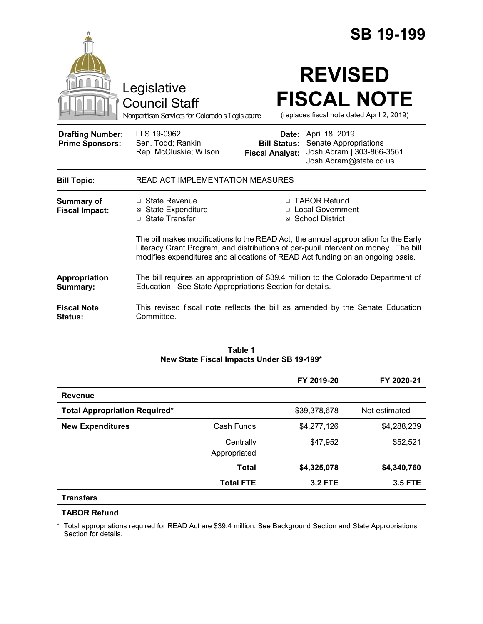|                                                   |                                                                                        | <b>SB 19-199</b>                                                                                                                                                                                                                                              |
|---------------------------------------------------|----------------------------------------------------------------------------------------|---------------------------------------------------------------------------------------------------------------------------------------------------------------------------------------------------------------------------------------------------------------|
|                                                   | Legislative<br><b>Council Staff</b><br>Nonpartisan Services for Colorado's Legislature | <b>REVISED</b><br><b>FISCAL NOTE</b><br>(replaces fiscal note dated April 2, 2019)                                                                                                                                                                            |
| <b>Drafting Number:</b><br><b>Prime Sponsors:</b> | LLS 19-0962<br>Sen. Todd; Rankin<br>Rep. McCluskie; Wilson                             | <b>Date:</b> April 18, 2019<br>Senate Appropriations<br><b>Bill Status:</b><br>Josh Abram   303-866-3561<br><b>Fiscal Analyst:</b><br>Josh.Abram@state.co.us                                                                                                  |
| <b>Bill Topic:</b>                                | <b>READ ACT IMPLEMENTATION MEASURES</b>                                                |                                                                                                                                                                                                                                                               |
| <b>Summary of</b><br><b>Fiscal Impact:</b>        | □ State Revenue<br><b>State Expenditure</b><br>⊠<br>□ State Transfer                   | □ TABOR Refund<br>□ Local Government<br>⊠ School District                                                                                                                                                                                                     |
|                                                   |                                                                                        | The bill makes modifications to the READ Act, the annual appropriation for the Early<br>Literacy Grant Program, and distributions of per-pupil intervention money. The bill<br>modifies expenditures and allocations of READ Act funding on an ongoing basis. |
| Appropriation<br>Summary:                         | Education. See State Appropriations Section for details.                               | The bill requires an appropriation of \$39.4 million to the Colorado Department of                                                                                                                                                                            |
| <b>Fiscal Note</b><br><b>Status:</b>              | Committee.                                                                             | This revised fiscal note reflects the bill as amended by the Senate Education                                                                                                                                                                                 |

| Table 1                                   |  |  |  |  |  |
|-------------------------------------------|--|--|--|--|--|
| New State Fiscal Impacts Under SB 19-199* |  |  |  |  |  |

|                                      |                           | FY 2019-20               | FY 2020-21     |
|--------------------------------------|---------------------------|--------------------------|----------------|
| <b>Revenue</b>                       |                           |                          |                |
| <b>Total Appropriation Required*</b> |                           | \$39,378,678             | Not estimated  |
| <b>New Expenditures</b>              | Cash Funds                | \$4,277,126              | \$4,288,239    |
|                                      | Centrally<br>Appropriated | \$47,952                 | \$52,521       |
|                                      | <b>Total</b>              | \$4,325,078              | \$4,340,760    |
|                                      | <b>Total FTE</b>          | <b>3.2 FTE</b>           | <b>3.5 FTE</b> |
| <b>Transfers</b>                     |                           | ۰                        |                |
| <b>TABOR Refund</b>                  |                           | $\overline{\phantom{0}}$ |                |

\* Total appropriations required for READ Act are \$39.4 million. See Background Section and State Appropriations Section for details.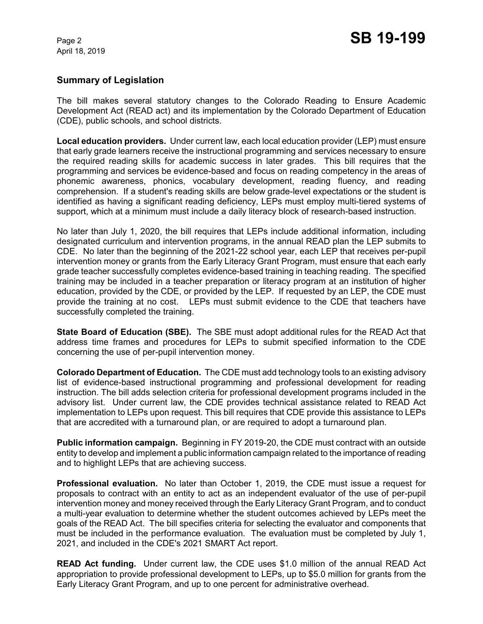April 18, 2019

# **Summary of Legislation**

The bill makes several statutory changes to the Colorado Reading to Ensure Academic Development Act (READ act) and its implementation by the Colorado Department of Education (CDE), public schools, and school districts.

**Local education providers.** Under current law, each local education provider (LEP) must ensure that early grade learners receive the instructional programming and services necessary to ensure the required reading skills for academic success in later grades. This bill requires that the programming and services be evidence-based and focus on reading competency in the areas of phonemic awareness, phonics, vocabulary development, reading fluency, and reading comprehension. If a student's reading skills are below grade-level expectations or the student is identified as having a significant reading deficiency, LEPs must employ multi-tiered systems of support, which at a minimum must include a daily literacy block of research-based instruction.

No later than July 1, 2020, the bill requires that LEPs include additional information, including designated curriculum and intervention programs, in the annual READ plan the LEP submits to CDE. No later than the beginning of the 2021-22 school year, each LEP that receives per-pupil intervention money or grants from the Early Literacy Grant Program, must ensure that each early grade teacher successfully completes evidence-based training in teaching reading. The specified training may be included in a teacher preparation or literacy program at an institution of higher education, provided by the CDE, or provided by the LEP. If requested by an LEP, the CDE must provide the training at no cost. LEPs must submit evidence to the CDE that teachers have successfully completed the training.

**State Board of Education (SBE).** The SBE must adopt additional rules for the READ Act that address time frames and procedures for LEPs to submit specified information to the CDE concerning the use of per-pupil intervention money.

**Colorado Department of Education.** The CDE must add technology tools to an existing advisory list of evidence-based instructional programming and professional development for reading instruction. The bill adds selection criteria for professional development programs included in the advisory list. Under current law, the CDE provides technical assistance related to READ Act implementation to LEPs upon request. This bill requires that CDE provide this assistance to LEPs that are accredited with a turnaround plan, or are required to adopt a turnaround plan.

**Public information campaign.** Beginning in FY 2019-20, the CDE must contract with an outside entity to develop and implement a public information campaign related to the importance of reading and to highlight LEPs that are achieving success.

**Professional evaluation.** No later than October 1, 2019, the CDE must issue a request for proposals to contract with an entity to act as an independent evaluator of the use of per-pupil intervention money and money received through the Early Literacy Grant Program, and to conduct a multi-year evaluation to determine whether the student outcomes achieved by LEPs meet the goals of the READ Act. The bill specifies criteria for selecting the evaluator and components that must be included in the performance evaluation. The evaluation must be completed by July 1, 2021, and included in the CDE's 2021 SMART Act report.

**READ Act funding.** Under current law, the CDE uses \$1.0 million of the annual READ Act appropriation to provide professional development to LEPs, up to \$5.0 million for grants from the Early Literacy Grant Program, and up to one percent for administrative overhead.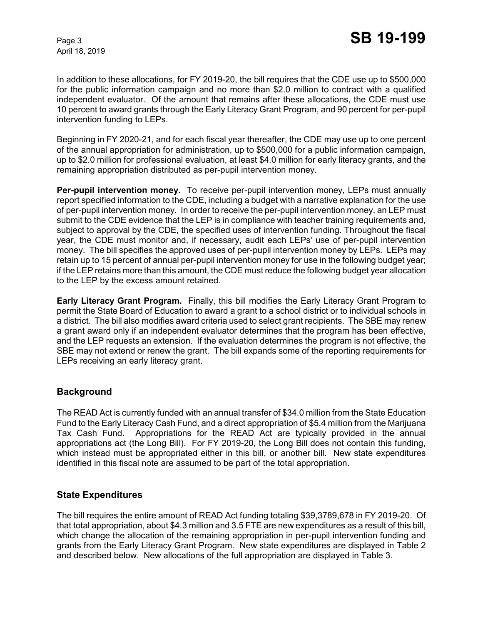April 18, 2019

In addition to these allocations, for FY 2019-20, the bill requires that the CDE use up to \$500,000 for the public information campaign and no more than \$2.0 million to contract with a qualified independent evaluator. Of the amount that remains after these allocations, the CDE must use 10 percent to award grants through the Early Literacy Grant Program, and 90 percent for per-pupil intervention funding to LEPs.

Beginning in FY 2020-21, and for each fiscal year thereafter, the CDE may use up to one percent of the annual appropriation for administration, up to \$500,000 for a public information campaign, up to \$2.0 million for professional evaluation, at least \$4.0 million for early literacy grants, and the remaining appropriation distributed as per-pupil intervention money.

**Per-pupil intervention money.** To receive per-pupil intervention money, LEPs must annually report specified information to the CDE, including a budget with a narrative explanation for the use of per-pupil intervention money. In order to receive the per-pupil intervention money, an LEP must submit to the CDE evidence that the LEP is in compliance with teacher training requirements and, subject to approval by the CDE, the specified uses of intervention funding. Throughout the fiscal year, the CDE must monitor and, if necessary, audit each LEPs' use of per-pupil intervention money. The bill specifies the approved uses of per-pupil intervention money by LEPs. LEPs may retain up to 15 percent of annual per-pupil intervention money for use in the following budget year; if the LEP retains more than this amount, the CDE must reduce the following budget year allocation to the LEP by the excess amount retained.

**Early Literacy Grant Program.** Finally, this bill modifies the Early Literacy Grant Program to permit the State Board of Education to award a grant to a school district or to individual schools in a district. The bill also modifies award criteria used to select grant recipients. The SBE may renew a grant award only if an independent evaluator determines that the program has been effective, and the LEP requests an extension. If the evaluation determines the program is not effective, the SBE may not extend or renew the grant. The bill expands some of the reporting requirements for LEPs receiving an early literacy grant.

# **Background**

The READ Act is currently funded with an annual transfer of \$34.0 million from the State Education Fund to the Early Literacy Cash Fund, and a direct appropriation of \$5.4 million from the Marijuana Tax Cash Fund. Appropriations for the READ Act are typically provided in the annual appropriations act (the Long Bill). For FY 2019-20, the Long Bill does not contain this funding, which instead must be appropriated either in this bill, or another bill. New state expenditures identified in this fiscal note are assumed to be part of the total appropriation.

#### **State Expenditures**

The bill requires the entire amount of READ Act funding totaling \$39,3789,678 in FY 2019-20. Of that total appropriation, about \$4.3 million and 3.5 FTE are new expenditures as a result of this bill, which change the allocation of the remaining appropriation in per-pupil intervention funding and grants from the Early Literacy Grant Program. New state expenditures are displayed in Table 2 and described below. New allocations of the full appropriation are displayed in Table 3.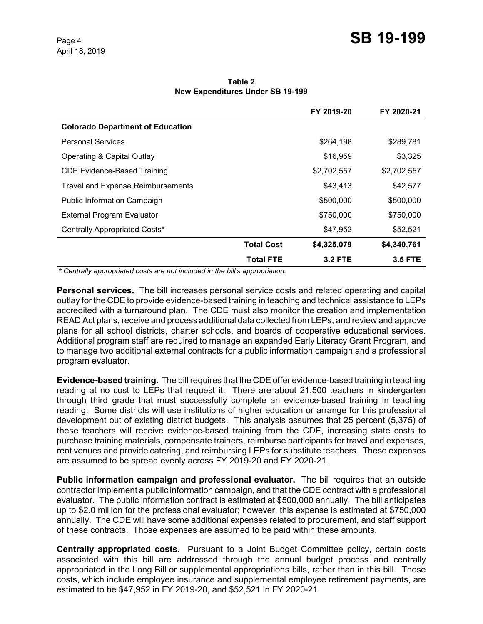# Page 4 **SB 19-199**

**Table 2 New Expenditures Under SB 19-199**

|                                          |                   | FY 2019-20     | FY 2020-21     |
|------------------------------------------|-------------------|----------------|----------------|
| <b>Colorado Department of Education</b>  |                   |                |                |
| <b>Personal Services</b>                 |                   | \$264,198      | \$289,781      |
| Operating & Capital Outlay               |                   | \$16,959       | \$3,325        |
| <b>CDE Evidence-Based Training</b>       |                   | \$2,702,557    | \$2,702,557    |
| <b>Travel and Expense Reimbursements</b> |                   | \$43,413       | \$42,577       |
| <b>Public Information Campaign</b>       |                   | \$500,000      | \$500,000      |
| <b>External Program Evaluator</b>        |                   | \$750,000      | \$750,000      |
| Centrally Appropriated Costs*            |                   | \$47,952       | \$52,521       |
|                                          | <b>Total Cost</b> | \$4,325,079    | \$4,340,761    |
|                                          | <b>Total FTE</b>  | <b>3.2 FTE</b> | <b>3.5 FTE</b> |

 *\* Centrally appropriated costs are not included in the bill's appropriation.*

**Personal services.** The bill increases personal service costs and related operating and capital outlay for the CDE to provide evidence-based training in teaching and technical assistance to LEPs accredited with a turnaround plan. The CDE must also monitor the creation and implementation READ Act plans, receive and process additional data collected from LEPs, and review and approve plans for all school districts, charter schools, and boards of cooperative educational services. Additional program staff are required to manage an expanded Early Literacy Grant Program, and to manage two additional external contracts for a public information campaign and a professional program evaluator.

**Evidence-based training.** The bill requires that the CDE offer evidence-based training in teaching reading at no cost to LEPs that request it. There are about 21,500 teachers in kindergarten through third grade that must successfully complete an evidence-based training in teaching reading. Some districts will use institutions of higher education or arrange for this professional development out of existing district budgets. This analysis assumes that 25 percent (5,375) of these teachers will receive evidence-based training from the CDE, increasing state costs to purchase training materials, compensate trainers, reimburse participants for travel and expenses, rent venues and provide catering, and reimbursing LEPs for substitute teachers. These expenses are assumed to be spread evenly across FY 2019-20 and FY 2020-21.

**Public information campaign and professional evaluator.** The bill requires that an outside contractor implement a public information campaign, and that the CDE contract with a professional evaluator. The public information contract is estimated at \$500,000 annually. The bill anticipates up to \$2.0 million for the professional evaluator; however, this expense is estimated at \$750,000 annually. The CDE will have some additional expenses related to procurement, and staff support of these contracts. Those expenses are assumed to be paid within these amounts.

**Centrally appropriated costs.** Pursuant to a Joint Budget Committee policy, certain costs associated with this bill are addressed through the annual budget process and centrally appropriated in the Long Bill or supplemental appropriations bills, rather than in this bill. These costs, which include employee insurance and supplemental employee retirement payments, are estimated to be \$47,952 in FY 2019-20, and \$52,521 in FY 2020-21.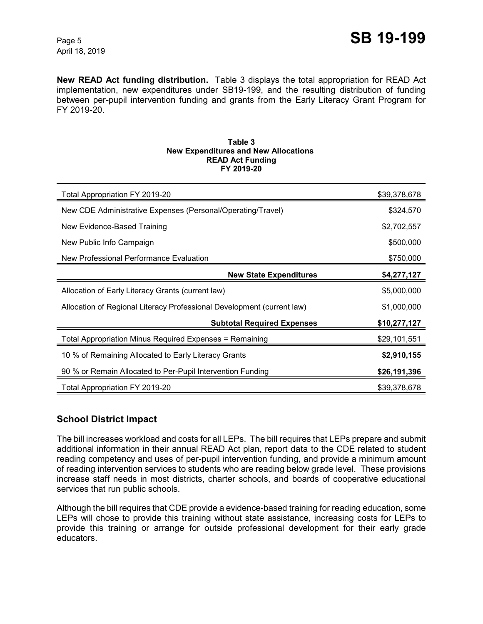**New READ Act funding distribution.** Table 3 displays the total appropriation for READ Act implementation, new expenditures under SB19-199, and the resulting distribution of funding between per-pupil intervention funding and grants from the Early Literacy Grant Program for FY 2019-20.

#### **Table 3 New Expenditures and New Allocations READ Act Funding FY 2019-20**

| Total Appropriation FY 2019-20                                         | \$39,378,678 |
|------------------------------------------------------------------------|--------------|
| New CDE Administrative Expenses (Personal/Operating/Travel)            | \$324,570    |
| New Evidence-Based Training                                            | \$2,702,557  |
| New Public Info Campaign                                               | \$500,000    |
| New Professional Performance Evaluation                                | \$750,000    |
| <b>New State Expenditures</b>                                          | \$4,277,127  |
| Allocation of Early Literacy Grants (current law)                      | \$5,000,000  |
| Allocation of Regional Literacy Professional Development (current law) | \$1,000,000  |
| <b>Subtotal Required Expenses</b>                                      | \$10,277,127 |
| Total Appropriation Minus Required Expenses = Remaining                | \$29,101,551 |
| 10 % of Remaining Allocated to Early Literacy Grants                   | \$2,910,155  |
| 90 % or Remain Allocated to Per-Pupil Intervention Funding             | \$26,191,396 |
| Total Appropriation FY 2019-20                                         | \$39,378,678 |

# **School District Impact**

The bill increases workload and costs for all LEPs. The bill requires that LEPs prepare and submit additional information in their annual READ Act plan, report data to the CDE related to student reading competency and uses of per-pupil intervention funding, and provide a minimum amount of reading intervention services to students who are reading below grade level. These provisions increase staff needs in most districts, charter schools, and boards of cooperative educational services that run public schools.

Although the bill requires that CDE provide a evidence-based training for reading education, some LEPs will chose to provide this training without state assistance, increasing costs for LEPs to provide this training or arrange for outside professional development for their early grade educators.